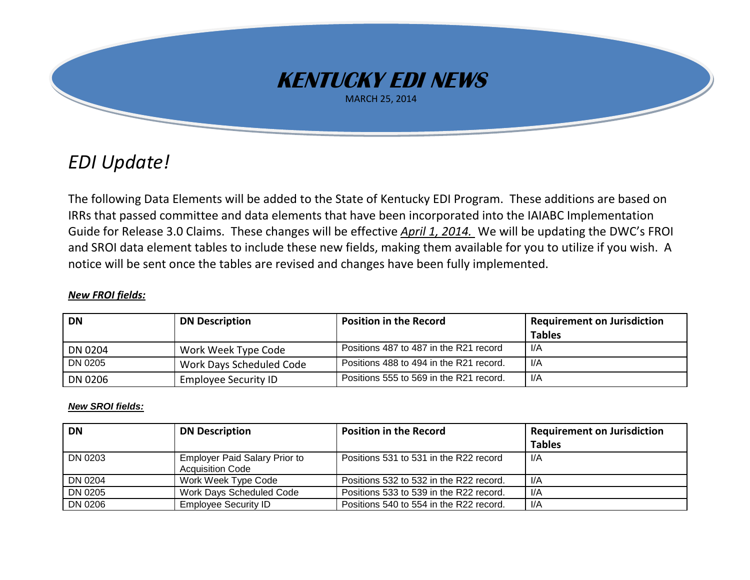

## *EDI Update!*

The following Data Elements will be added to the State of Kentucky EDI Program. These additions are based on IRRs that passed committee and data elements that have been incorporated into the IAIABC Implementation Guide for Release 3.0 Claims. These changes will be effective *April 1, 2014.* We will be updating the DWC's FROI and SROI data element tables to include these new fields, making them available for you to utilize if you wish. A notice will be sent once the tables are revised and changes have been fully implemented.

## *New FROI fields:*

| <b>DN</b>      | <b>DN Description</b>       | <b>Position in the Record</b>           | Requirement on Jurisdiction |
|----------------|-----------------------------|-----------------------------------------|-----------------------------|
|                |                             |                                         | <b>Tables</b>               |
| DN 0204        | Work Week Type Code         | Positions 487 to 487 in the R21 record  | l/A                         |
| DN 0205        | Work Days Scheduled Code    | Positions 488 to 494 in the R21 record. | I/A                         |
| <b>DN 0206</b> | <b>Employee Security ID</b> | Positions 555 to 569 in the R21 record. | I/A                         |

## *New SROI fields:*

| DN      | <b>DN Description</b>                                           | <b>Position in the Record</b>           | <b>Requirement on Jurisdiction</b> |
|---------|-----------------------------------------------------------------|-----------------------------------------|------------------------------------|
|         |                                                                 |                                         | <b>Tables</b>                      |
| DN 0203 | <b>Employer Paid Salary Prior to</b><br><b>Acquisition Code</b> | Positions 531 to 531 in the R22 record  | 1/A                                |
| DN 0204 | Work Week Type Code                                             | Positions 532 to 532 in the R22 record. | -l/A                               |
| DN 0205 | Work Days Scheduled Code                                        | Positions 533 to 539 in the R22 record. | 1/A                                |
| DN 0206 | <b>Employee Security ID</b>                                     | Positions 540 to 554 in the R22 record. | 1/A                                |